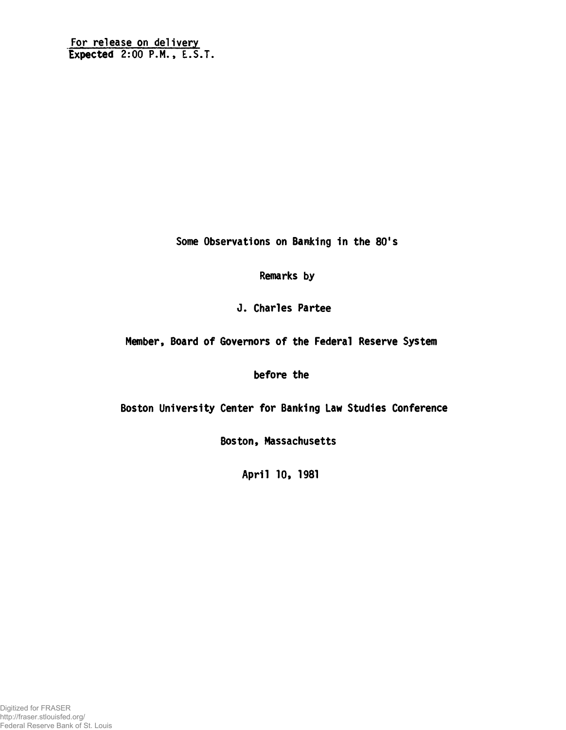Some Observations on Banking in the 80's

Remarks by

J. Charles Partee

Member, Board of Governors of the Federal Reserve System

before the

Boston University Center for Banking Law Studies Conference

Boston, Massachusetts

April 10, 1981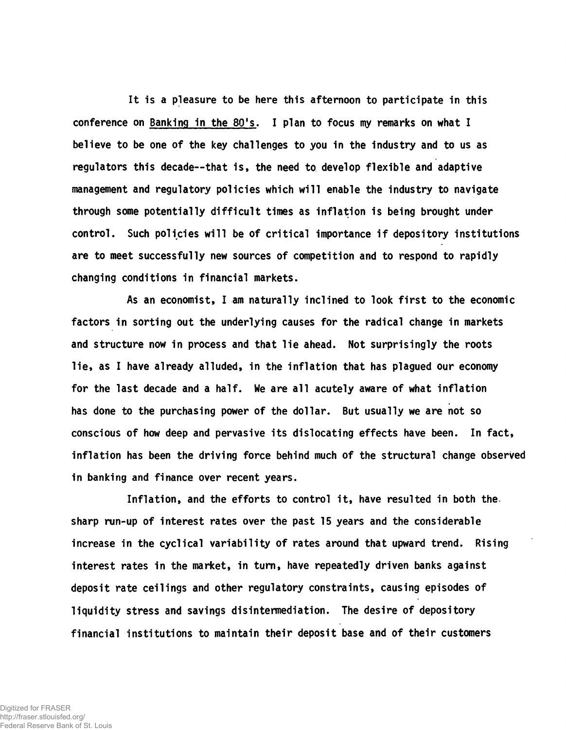It is a pleasure to be here this afternoon to participate in this conference on Banking in the 80's. I plan to focus my remarks on what I believe to be one of the key challenges to you in the industry and to us as regulators this decade— that is, the need to develop flexible and adaptive management and regulatory policies which will enable the industry to navigate through some potentially difficult times as inflation is being brought under control. Such policies will be of critical importance if depository institutions are to meet successfully new sources of competition and to respond to rapidly changing conditions in financial markets.

As an economist, I am naturally inclined to look first to the economic factors in sorting out the underlying causes for the radical change in markets and structure now in process and that lie ahead. Not surprisingly the roots lie, as I have already alluded, in the inflation that has plagued our economy for the last decade and a half. We are all acutely aware of what inflation has done to the purchasing power of the dollar. But usually we are not so conscious of how deep and pervasive its dislocating effects have been. In fact, inflation has been the driving force behind much of the structural change observed in banking and finance over recent years.

Inflation, and the efforts to control it, have resulted in both the. sharp run-up of interest rates over the past 15 years and the considerable increase in the cyclical variability of rates around that upward trend. Rising interest rates in the market, in turn, have repeatedly driven banks against deposit rate ceilings and other regulatory constraints, causing episodes of liquidity stress and savings disintermediation. The desire of depository financial institutions to maintain their deposit base and of their customers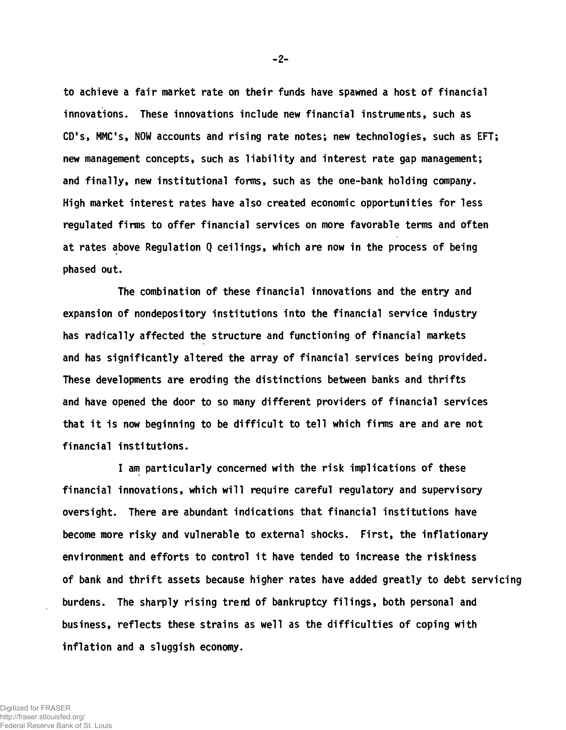to achieve a fair market rate on their funds have spawned a host of financial innovations. These innovations include new financial instruments, such as CD's, MMC's, NOW accounts and rising rate notes; new technologies, such as EFT; new management concepts, such as liability and interest rate gap management; and finally, new institutional forms, such as the one-bank holding company. High market interest rates have also created economic opportunities for less regulated firms to offer financial services on more favorable terms and often at rates above Regulation Q ceilings, which are now in the process of being phased out.

The combination of these financial innovations and the entry and expansion of nondepository institutions into the financial service industry has radically affected the structure and functioning of financial markets and has significantly altered the array of financial services being provided. These developments are eroding the distinctions between banks and thrifts and have opened the door to so many different providers of financial services that it is now beginning to be difficult to tell which firms are and are not financial institutions.

I am particularly concerned with the risk implications of these financial innovations, which will require careful regulatory and supervisory oversight. There are abundant indications that financial institutions have become more risky and vulnerable to external shocks. First, the inflationary environment and efforts to control it have tended to increase the riskiness of bank and thrift assets because higher rates have added greatly to debt servicing burdens. The sharply rising trend of bankruptcy filings, both personal and business, reflects these strains as well as the difficulties of coping with inflation and a sluggish economy.

-2-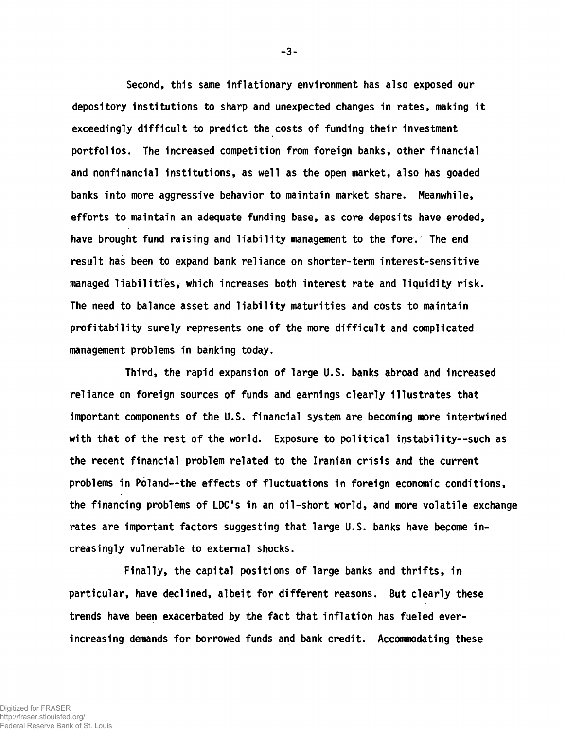Second, this same inflationary environment has also exposed our depository institutions to sharp and unexpected changes in rates, making it exceedingly difficult to predict the costs of funding their investment portfolios. The increased competition from foreign banks, other financial and nonfinancial institutions, as well as the open market, also has goaded banks into more aggressive behavior to maintain market share. Meanwhile, efforts to maintain an adequate funding base, as core deposits have eroded, have brought fund raising and liability management to the fore.' The end result has been to expand bank reliance on shorter-term interest-sensitive managed liabilities, which increases both interest rate and liquidity risk. The need to balance asset and liability maturities and costs to maintain profitability surely represents one of the more difficult and complicated management problems in banking today.

Third, the rapid expansion of large U.S. banks abroad and increased reliance on foreign sources of funds and earnings clearly illustrates that important components of the U.S. financial system are becoming more intertwined with that of the rest of the world. Exposure to political instability--such as the recent financial problem related to the Iranian crisis and the current problems in Poland— the effects of fluctuations in foreign economic conditions, the financing problems of LDC's in an oil-short world, and more volatile exchange rates are important factors suggesting that large U.S. banks have become increasingly vulnerable to external shocks.

Finally, the capital positions of large banks and thrifts, in particular, have declined, albeit for different reasons. But clearly these trends have been exacerbated by the fact that inflation has fueled everincreasing demands for borrowed funds and bank credit. Accommodating these

-3-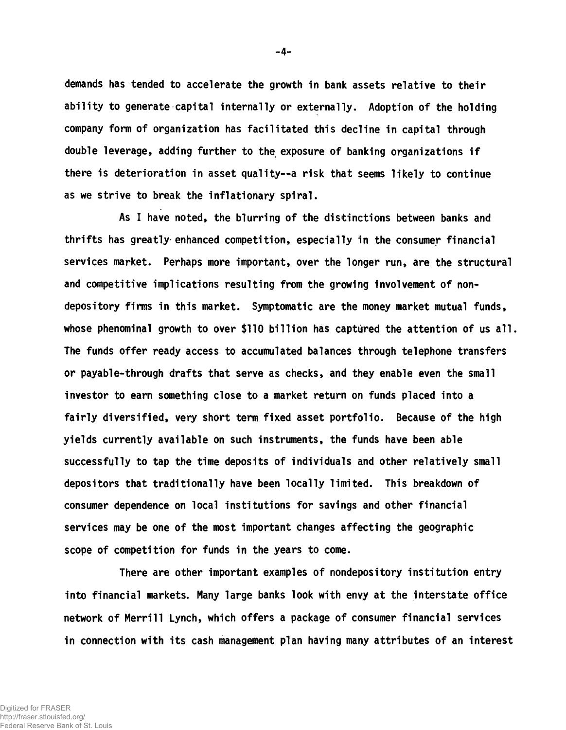demands has tended to accelerate the growth in bank assets relative to their ability to generate capital internally or externally. Adoption of the holding company form of organization has facilitated this decline in capital through double leverage, adding further to the exposure of banking organizations if there is deterioration in asset quality— a risk that seems likely to continue as we strive to break the inflationary spiral.

As I have noted, the blurring of the distinctions between banks and thrifts has greatly-enhanced competition, especially in the consumer financial services market. Perhaps more important, over the longer run, are the structural and competitive implications resulting from the growing involvement of nondepository firms in this market. Symptomatic are the money market mutual funds, whose phenominal growth to over \$110 billion has captured the attention of us all. The funds offer ready access to accumulated balances through telephone transfers or payable-through drafts that serve as checks, and they enable even the small investor to earn something close to a market return on funds placed into a fairly diversified, very short term fixed asset portfolio. Because of the high yields currently available on such instruments, the funds have been able successfully to tap the time deposits of individuals and other relatively small depositors that traditionally have been locally limited. This breakdown of consumer dependence on local institutions for savings and other financial services may be one of the most important changes affecting the geographic scope of competition for funds in the years to come.

There are other important examples of nondepository institution entry into financial markets. Many large banks look with envy at the interstate office network of Merrill Lynch, which offers a package of consumer financial services in connection with its cash management plan having many attributes of an interest

-4-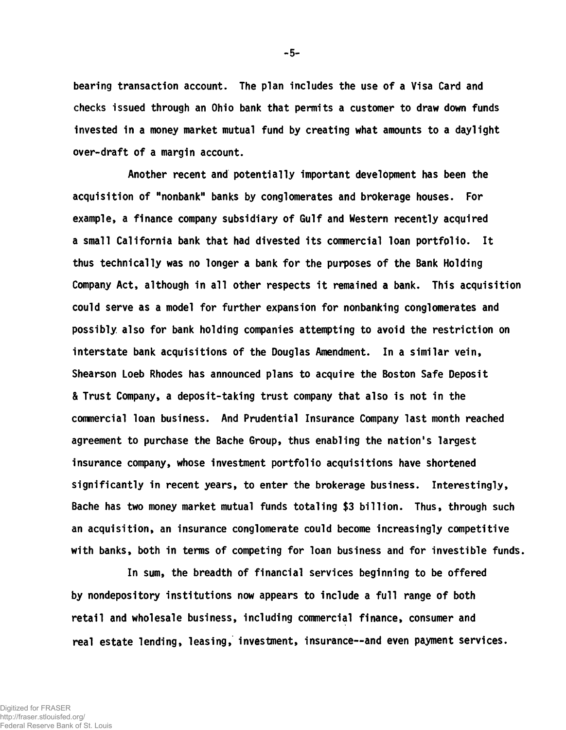bearing transaction account. The plan includes the use of a Visa Card and checks issued through an Ohio bank that permits a customer to draw down funds invested in a money market mutual fund by creating what amounts to a daylight over-draft of a margin account.

Another recent and potentially important development has been the acquisition of "nonbank" banks by conglomerates and brokerage houses. For example, a finance company subsidiary of Gulf and Western recently acquired a small California bank that had divested its commercial loan portfolio. It thus technically was no longer a bank for the purposes of the Bank Holding Company Act, although in all other respects it remained a bank. This acquisition could serve as a model for further expansion for nonbanking conglomerates and possibly also for bank holding companies attempting to avoid the restriction on interstate bank acquisitions of the Douglas Amendment. In a similar vein, Shearson Loeb Rhodes has announced plans to acquire the Boston Safe Deposit & Trust Company, a deposit-taking trust company that also is not in the commercial loan business. And Prudential Insurance Company last month reached agreement to purchase the Bache Group, thus enabling the nation's largest insurance company, whose investment portfolio acquisitions have shortened significantly in recent years, to enter the brokerage business. Interestingly, Bache has two money market mutual funds totaling \$3 billion. Thus, through such an acquisition, an insurance conglomerate could become increasingly competitive with banks, both in terms of competing for loan business and for investible funds.

In sum, the breadth of financial services beginning to be offered by nondepository institutions now appears to include a full range of both retail and wholesale business, including commercial finance, consumer and real estate lending, leasing, investment, insurance--and even payment services.

-5-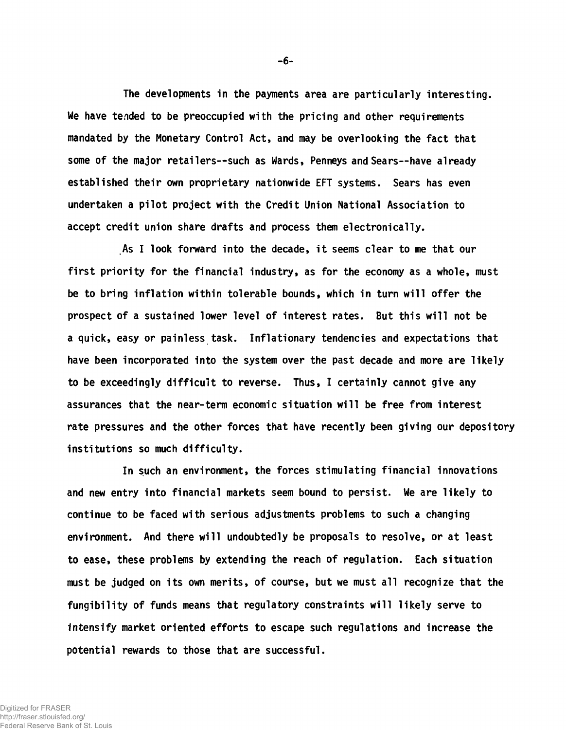The developments in the payments area are particularly interesting. We have tended to be preoccupied with the pricing and other requirements mandated by the Monetary Control Act, and may be overlooking the fact that some of the major retailers— such as Wards, Penneys and Sears— have already established their own proprietary nationwide EFT systems. Sears has even undertaken a pilot project with the Credit Union National Association to accept credit union share drafts and process them electronically.

As I look forward into the decade, it seems clear to me that our first priority for the financial industry, as for the economy as a whole, must be to bring inflation within tolerable bounds, which in turn will offer the prospect of a sustained lower level of interest rates. But this will not be a quick, easy or painless task. Inflationary tendencies and expectations that have been incorporated into the system over the past decade and more are likely to be exceedingly difficult to reverse. Thus, I certainly cannot give any assurances that the near-term economic situation will be free from interest rate pressures and the other forces that have recently been giving our depository institutions so much difficulty.

In such an environment, the forces stimulating financial innovations and new entry into financial markets seem bound to persist. We are likely to continue to be faced with serious adjustments problems to such a changing environment. And there will undoubtedly be proposals to resolve, or at least to ease, these problems by extending the reach of regulation. Each situation must be judged on its own merits, of course, but we must all recognize that the fungibility of funds means that regulatory constraints will likely serve to intensify market oriented efforts to escape such regulations and increase the potential rewards to those that are successful.

-6-